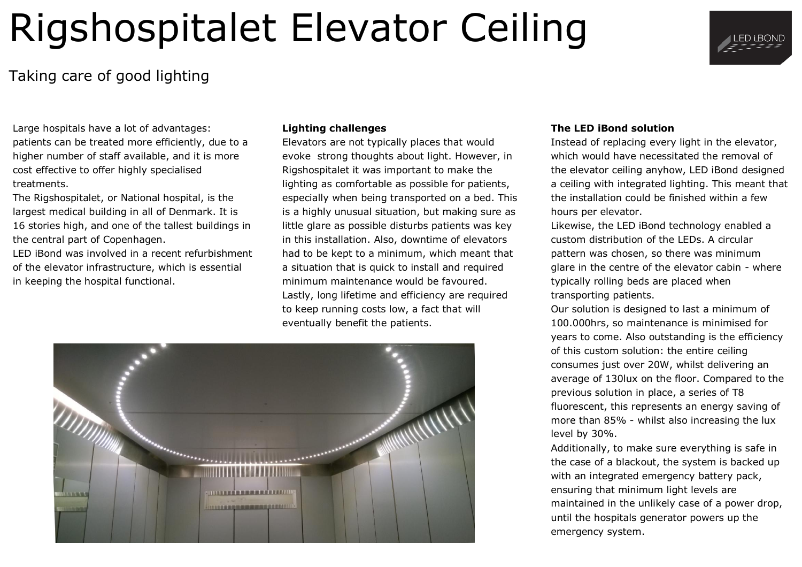# Rigshospitalet Elevator Ceiling

### Taking care of good lighting

Large hospitals have a lot of advantages: patients can be treated more efficiently, due to a higher number of staff available, and it is more cost effective to offer highly specialised treatments.

The Rigshospitalet, or National hospital, is the largest medical building in all of Denmark. It is 16 stories high, and one of the tallest buildings in the central part of Copenhagen.

LED iBond was involved in a recent refurbishment of the elevator infrastructure, which is essential in keeping the hospital functional.

#### **Lighting challenges**

Elevators are not typically places that would evoke strong thoughts about light. However, in Rigshospitalet it was important to make the lighting as comfortable as possible for patients, especially when being transported on a bed. This is a highly unusual situation, but making sure as little glare as possible disturbs patients was key in this installation. Also, downtime of elevators had to be kept to a minimum, which meant that a situation that is quick to install and required minimum maintenance would be favoured. Lastly, long lifetime and efficiency are required to keep running costs low, a fact that will eventually benefit the patients.



#### **The LED iBond solution**

Instead of replacing every light in the elevator, which would have necessitated the removal of the elevator ceiling anyhow, LED iBond designed a ceiling with integrated lighting. This meant that the installation could be finished within a few hours per elevator.

Likewise, the LED iBond technology enabled a custom distribution of the LEDs. A circular pattern was chosen, so there was minimum glare in the centre of the elevator cabin - where typically rolling beds are placed when transporting patients.

Our solution is designed to last a minimum of 100.000hrs, so maintenance is minimised for years to come. Also outstanding is the efficiency of this custom solution: the entire ceiling consumes just over 20W, whilst delivering an average of 130lux on the floor. Compared to the previous solution in place, a series of T8 fluorescent, this represents an energy saving of more than 85% - whilst also increasing the lux level by 30%.

Additionally, to make sure everything is safe in the case of a blackout, the system is backed up with an integrated emergency battery pack, ensuring that minimum light levels are maintained in the unlikely case of a power drop, until the hospitals generator powers up the emergency system.